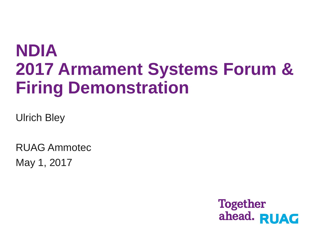# **NDIA 2017 Armament Systems Forum & Firing Demonstration**

Ulrich Bley

RUAG Ammotec May 1, 2017

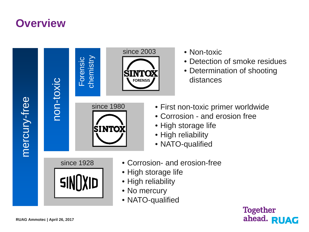### **Overview**



- 
- Detection of smoke residues
- Determination of shooting distances
- since 1980 First non-toxic primer worldwide
	- Corrosion and erosion free
	- High storage life
	- High reliability
	- NATO-qualified
	- Corrosion- and erosion-free
	- High storage life
	-
	- NATO-qualified

**Together** ahead. RUAG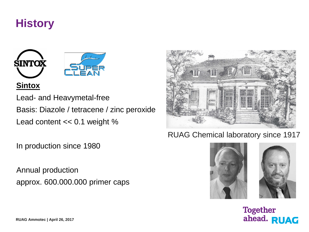# **History**



#### **Sintox**

Lead- and Heavymetal-free Basis: Diazole / tetracene / zinc peroxide Lead content << 0.1 weight %

In production since 1980

Annual production approx. 600.000.000 primer caps



#### RUAG Chemical laboratory since 1917





**Together** ahead. RUAG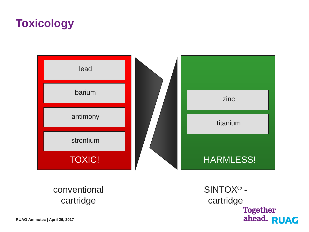# **Toxicology**



conventional cartridge

SINTOX® cartridge<br>Together<br>ahead. RUAG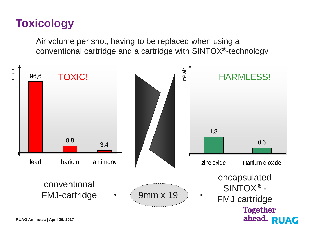# **Toxicology**

Air volume per shot, having to be replaced when using a conventional cartridge and a cartridge with SINTOX®-technology

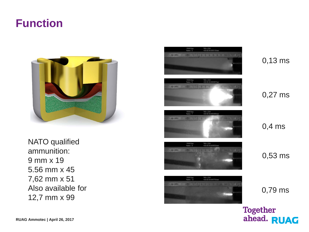### **Function**



NATO qualified ammunition : 9 mm x 19 5.56 mm x 45 7,62 mm x 51 Also available for 12,7 mm x 99



0,13 ms

0,27 ms

0,4 ms

0,53 ms

0,79 ms

**Together** ahead. RUAG